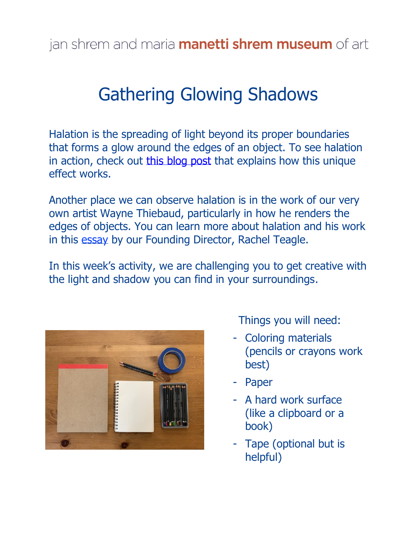## Gathering Glowing Shadows

Halation is the spreading of light beyond its proper boundaries that forms a glow around the edges of an object. To see halation in action, check out [this blog post](https://medium.com/@huedoku/halation-is-not-magic-rather-its-4017d0b12434) that explains how this unique effect works.

Another place we can observe halation is in the work of our very own artist Wayne Thiebaud, particularly in how he renders the edges of objects. You can learn more about halation and his work in this [essay](https://manettishremmuseum.ucdavis.edu/news/cup-of-coffee) by our Founding Director, Rachel Teagle.

In this week's activity, we are challenging you to get creative with the light and shadow you can find in your surroundings.



Things you will need:

- Coloring materials (pencils or crayons work best)
- Paper
- A hard work surface (like a clipboard or a book)
- Tape (optional but is helpful)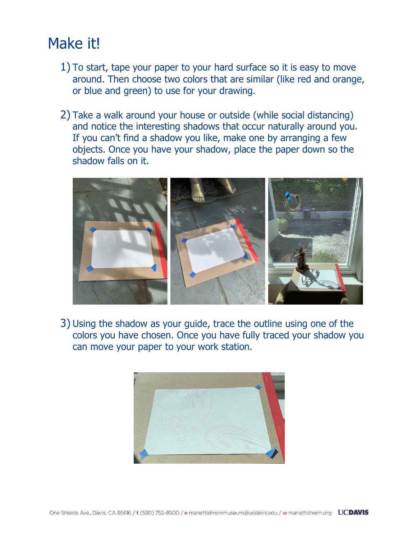## Make it!

- 1) To start, tape your paper to your hard surface so it is easy to move around. Then choose two colors that are similar (like red and orange, or blue and green) to use for your drawing.
- 2) Take a walk around your house or outside (while social distancing) and notice the interesting shadows that occur naturally around you. If you can't find a shadow you like, make one by arranging a few objects. Once you have your shadow, place the paper down so the shadow falls on it.



3) Using the shadow as your guide, trace the outline using one of the colors you have chosen. Once you have fully traced your shadow you can move your paper to your work station.